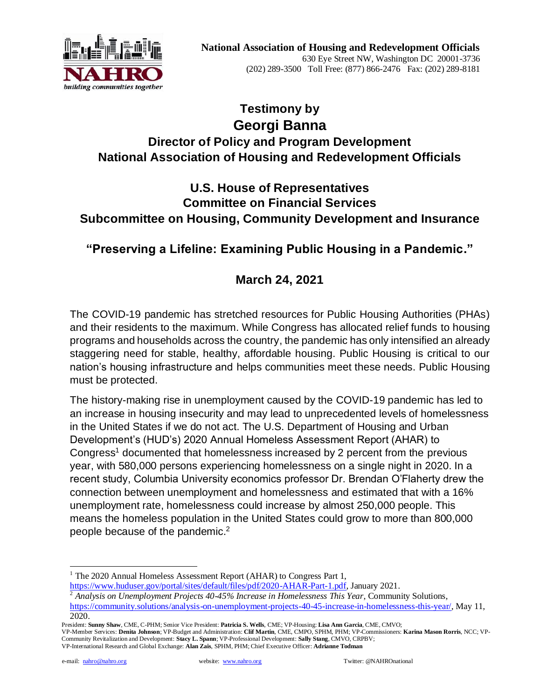

# **Testimony by Georgi Banna Director of Policy and Program Development National Association of Housing and Redevelopment Officials**

# **U.S. House of Representatives Committee on Financial Services Subcommittee on Housing, Community Development and Insurance**

# **"Preserving a Lifeline: Examining Public Housing in a Pandemic."**

# **March 24, 2021**

The COVID-19 pandemic has stretched resources for Public Housing Authorities (PHAs) and their residents to the maximum. While Congress has allocated relief funds to housing programs and households across the country, the pandemic has only intensified an already staggering need for stable, healthy, affordable housing. Public Housing is critical to our nation's housing infrastructure and helps communities meet these needs. Public Housing must be protected.

The history-making rise in unemployment caused by the COVID-19 pandemic has led to an increase in housing insecurity and may lead to unprecedented levels of homelessness in the United States if we do not act. The U.S. Department of Housing and Urban Development's (HUD's) 2020 Annual Homeless Assessment Report (AHAR) to Congress<sup>1</sup> documented that homelessness increased by 2 percent from the previous year, with 580,000 persons experiencing homelessness on a single night in 2020. In a recent study, Columbia University economics professor Dr. Brendan O'Flaherty drew the connection between unemployment and homelessness and estimated that with a 16% unemployment rate, homelessness could increase by almost 250,000 people. This means the homeless population in the United States could grow to more than 800,000 people because of the pandemic.<sup>2</sup>

<sup>&</sup>lt;sup>1</sup> The 2020 Annual Homeless Assessment Report (AHAR) to Congress Part 1,

[https://www.huduser.gov/portal/sites/default/files/pdf/2020-AHAR-Part-1.pdf,](https://www.huduser.gov/portal/sites/default/files/pdf/2020-AHAR-Part-1.pdf) January 2021.

<sup>2</sup> *Analysis on Unemployment Projects 40-45% Increase in Homelessness This Year*, Community Solutions, [https://community.solutions/analysis-on-unemployment-projects-40-45-increase-in-homelessness-this-year/,](https://community.solutions/analysis-on-unemployment-projects-40-45-increase-in-homelessness-this-year/) May 11, 2020.

President: **Sunny Shaw**, CME, C-PHM; Senior Vice President: **Patricia S. Wells**, CME; VP-Housing: **Lisa Ann Garcia**, CME, CMVO;

VP-Member Services: **Denita Johnson**; VP-Budget and Administration: **Clif Martin**, CME, CMPO, SPHM, PHM; VP-Commissioners: **Karina Mason Rorris**, NCC; VP-<br>Community Revitalization and Development: **Stacy L. Spann**; VP-Prof VP-International Research and Global Exchange: **Alan Zais**, SPHM, PHM; Chief Executive Officer: **Adrianne Todman**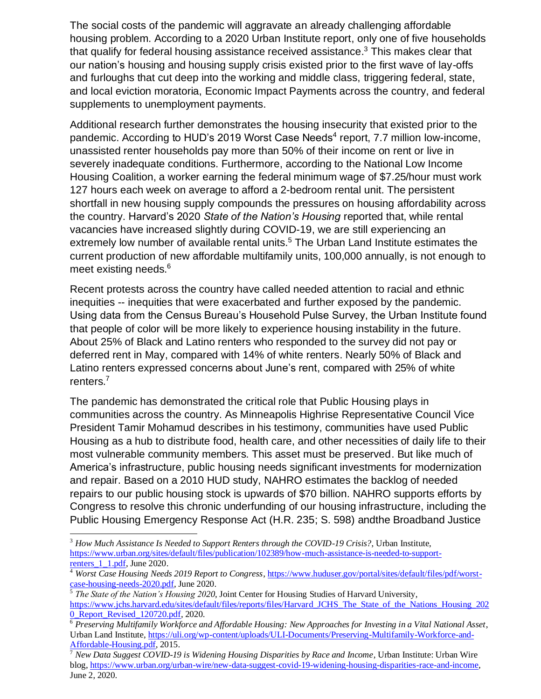The social costs of the pandemic will aggravate an already challenging affordable housing problem. According to a 2020 Urban Institute report, only one of five households that qualify for federal housing assistance received assistance. $3$  This makes clear that our nation's housing and housing supply crisis existed prior to the first wave of lay-offs and furloughs that cut deep into the working and middle class, triggering federal, state, and local eviction moratoria, Economic Impact Payments across the country, and federal supplements to unemployment payments.

Additional research further demonstrates the housing insecurity that existed prior to the pandemic. According to HUD's 2019 Worst Case Needs<sup>4</sup> report, 7.7 million low-income, unassisted renter households pay more than 50% of their income on rent or live in severely inadequate conditions. Furthermore, according to the National Low Income Housing Coalition, a worker earning the federal minimum wage of \$7.25/hour must work 127 hours each week on average to afford a 2-bedroom rental unit. The persistent shortfall in new housing supply compounds the pressures on housing affordability across the country. Harvard's 2020 *State of the Nation's Housing* reported that, while rental vacancies have increased slightly during COVID-19, we are still experiencing an extremely low number of available rental units.<sup>5</sup> The Urban Land Institute estimates the current production of new affordable multifamily units, 100,000 annually, is not enough to meet existing needs.<sup>6</sup>

Recent protests across the country have called needed attention to racial and ethnic inequities -- inequities that were exacerbated and further exposed by the pandemic. Using data from the Census Bureau's Household Pulse Survey, the Urban Institute found that people of color will be more likely to experience housing instability in the future. About 25% of Black and Latino renters who responded to the survey did not pay or deferred rent in May, compared with 14% of white renters. Nearly 50% of Black and Latino renters expressed concerns about June's rent, compared with 25% of white renters.<sup>7</sup>

The pandemic has demonstrated the critical role that Public Housing plays in communities across the country. As Minneapolis Highrise Representative Council Vice President Tamir Mohamud describes in his testimony, communities have used Public Housing as a hub to distribute food, health care, and other necessities of daily life to their most vulnerable community members. This asset must be preserved. But like much of America's infrastructure, public housing needs significant investments for modernization and repair. Based on a 2010 HUD study, NAHRO estimates the backlog of needed repairs to our public housing stock is upwards of \$70 billion. NAHRO supports efforts by Congress to resolve this chronic underfunding of our housing infrastructure, including the Public Housing Emergency Response Act (H.R. 235; S. 598) andthe Broadband Justice

<sup>3</sup> *How Much Assistance Is Needed to Support Renters through the COVID-19 Crisis?*, Urban Institute, [https://www.urban.org/sites/default/files/publication/102389/how-much-assistance-is-needed-to-support](https://www.urban.org/sites/default/files/publication/102389/how-much-assistance-is-needed-to-support-renters_1_1.pdf)renters  $1$  1.pdf, June 2020.

<sup>4</sup> *Worst Case Housing Needs 2019 Report to Congress*[, https://www.huduser.gov/portal/sites/default/files/pdf/worst](https://www.huduser.gov/portal/sites/default/files/pdf/worst-case-housing-needs-2020.pdf)[case-housing-needs-2020.pdf,](https://www.huduser.gov/portal/sites/default/files/pdf/worst-case-housing-needs-2020.pdf) June 2020.

<sup>&</sup>lt;sup>5</sup> The State of the Nation's Housing 2020, Joint Center for Housing Studies of Harvard University, [https://www.jchs.harvard.edu/sites/default/files/reports/files/Harvard\\_JCHS\\_The\\_State\\_of\\_the\\_Nations\\_Housing\\_202](https://www.jchs.harvard.edu/sites/default/files/reports/files/Harvard_JCHS_The_State_of_the_Nations_Housing_2020_Report_Revised_120720.pdf) [0\\_Report\\_Revised\\_120720.pdf,](https://www.jchs.harvard.edu/sites/default/files/reports/files/Harvard_JCHS_The_State_of_the_Nations_Housing_2020_Report_Revised_120720.pdf) 2020.

<sup>6</sup> *Preserving Multifamily Workforce and Affordable Housing: New Approaches for Investing in a Vital National Asset*, Urban Land Institute[, https://uli.org/wp-content/uploads/ULI-Documents/Preserving-Multifamily-Workforce-and-](https://uli.org/wp-content/uploads/ULI-Documents/Preserving-Multifamily-Workforce-and-Affordable-Housing.pdf)[Affordable-Housing.pdf,](https://uli.org/wp-content/uploads/ULI-Documents/Preserving-Multifamily-Workforce-and-Affordable-Housing.pdf) 2015.

<sup>7</sup> *New Data Suggest COVID-19 is Widening Housing Disparities by Race and Income*, Urban Institute: Urban Wire blog, [https://www.urban.org/urban-wire/new-data-suggest-covid-19-widening-housing-disparities-race-and-income,](https://www.urban.org/urban-wire/new-data-suggest-covid-19-widening-housing-disparities-race-and-income) June 2, 2020.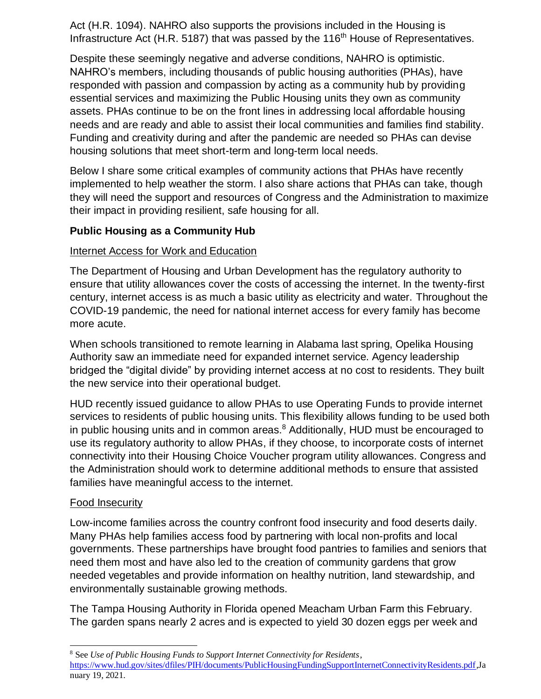Act (H.R. 1094). NAHRO also supports the provisions included in the Housing is Infrastructure Act (H.R. 5187) that was passed by the 116<sup>th</sup> House of Representatives.

Despite these seemingly negative and adverse conditions, NAHRO is optimistic. NAHRO's members, including thousands of public housing authorities (PHAs), have responded with passion and compassion by acting as a community hub by providing essential services and maximizing the Public Housing units they own as community assets. PHAs continue to be on the front lines in addressing local affordable housing needs and are ready and able to assist their local communities and families find stability. Funding and creativity during and after the pandemic are needed so PHAs can devise housing solutions that meet short-term and long-term local needs.

Below I share some critical examples of community actions that PHAs have recently implemented to help weather the storm. I also share actions that PHAs can take, though they will need the support and resources of Congress and the Administration to maximize their impact in providing resilient, safe housing for all.

#### **Public Housing as a Community Hub**

#### Internet Access for Work and Education

The Department of Housing and Urban Development has the regulatory authority to ensure that utility allowances cover the costs of accessing the internet. In the twenty-first century, internet access is as much a basic utility as electricity and water. Throughout the COVID-19 pandemic, the need for national internet access for every family has become more acute.

When schools transitioned to remote learning in Alabama last spring, Opelika Housing Authority saw an immediate need for expanded internet service. Agency leadership bridged the "digital divide" by providing internet access at no cost to residents. They built the new service into their operational budget.

HUD recently issued guidance to allow PHAs to use Operating Funds to provide internet services to residents of public housing units. This flexibility allows funding to be used both in public housing units and in common areas. $8$  Additionally, HUD must be encouraged to use its regulatory authority to allow PHAs, if they choose, to incorporate costs of internet connectivity into their Housing Choice Voucher program utility allowances. Congress and the Administration should work to determine additional methods to ensure that assisted families have meaningful access to the internet.

#### Food Insecurity

Low-income families across the country confront food insecurity and food deserts daily. Many PHAs help families access food by partnering with local non-profits and local governments. These partnerships have brought food pantries to families and seniors that need them most and have also led to the creation of community gardens that grow needed vegetables and provide information on healthy nutrition, land stewardship, and environmentally sustainable growing methods.

The Tampa Housing Authority in Florida opened Meacham Urban Farm this February. The garden spans nearly 2 acres and is expected to yield 30 dozen eggs per week and

<sup>8</sup> See *Use of Public Housing Funds to Support Internet Connectivity for Residents*, [https://www.hud.gov/sites/dfiles/PIH/documents/PublicHousingFundingSupportInternetConnectivityResidents.pdf,](https://www.hud.gov/sites/dfiles/PIH/documents/PublicHousingFundingSupportInternetConnectivityResidents.pdf)Ja nuary 19, 2021.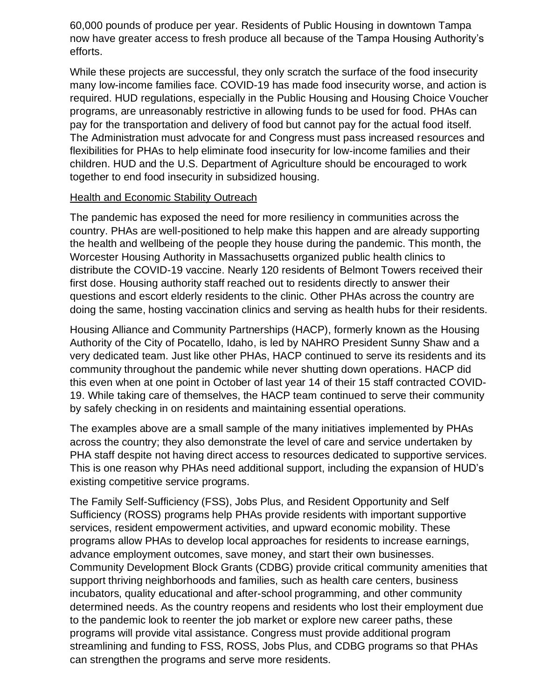60,000 pounds of produce per year. Residents of Public Housing in downtown Tampa now have greater access to fresh produce all because of the Tampa Housing Authority's efforts.

While these projects are successful, they only scratch the surface of the food insecurity many low-income families face. COVID-19 has made food insecurity worse, and action is required. HUD regulations, especially in the Public Housing and Housing Choice Voucher programs, are unreasonably restrictive in allowing funds to be used for food. PHAs can pay for the transportation and delivery of food but cannot pay for the actual food itself. The Administration must advocate for and Congress must pass increased resources and flexibilities for PHAs to help eliminate food insecurity for low-income families and their children. HUD and the U.S. Department of Agriculture should be encouraged to work together to end food insecurity in subsidized housing.

#### **Health and Economic Stability Outreach**

The pandemic has exposed the need for more resiliency in communities across the country. PHAs are well-positioned to help make this happen and are already supporting the health and wellbeing of the people they house during the pandemic. This month, the Worcester Housing Authority in Massachusetts organized public health clinics to distribute the COVID-19 vaccine. Nearly 120 residents of Belmont Towers received their first dose. Housing authority staff reached out to residents directly to answer their questions and escort elderly residents to the clinic. Other PHAs across the country are doing the same, hosting vaccination clinics and serving as health hubs for their residents.

Housing Alliance and Community Partnerships (HACP), formerly known as the Housing Authority of the City of Pocatello, Idaho, is led by NAHRO President Sunny Shaw and a very dedicated team. Just like other PHAs, HACP continued to serve its residents and its community throughout the pandemic while never shutting down operations. HACP did this even when at one point in October of last year 14 of their 15 staff contracted COVID-19. While taking care of themselves, the HACP team continued to serve their community by safely checking in on residents and maintaining essential operations.

The examples above are a small sample of the many initiatives implemented by PHAs across the country; they also demonstrate the level of care and service undertaken by PHA staff despite not having direct access to resources dedicated to supportive services. This is one reason why PHAs need additional support, including the expansion of HUD's existing competitive service programs.

The Family Self-Sufficiency (FSS), Jobs Plus, and Resident Opportunity and Self Sufficiency (ROSS) programs help PHAs provide residents with important supportive services, resident empowerment activities, and upward economic mobility. These programs allow PHAs to develop local approaches for residents to increase earnings, advance employment outcomes, save money, and start their own businesses. Community Development Block Grants (CDBG) provide critical community amenities that support thriving neighborhoods and families, such as health care centers, business incubators, quality educational and after-school programming, and other community determined needs. As the country reopens and residents who lost their employment due to the pandemic look to reenter the job market or explore new career paths, these programs will provide vital assistance. Congress must provide additional program streamlining and funding to FSS, ROSS, Jobs Plus, and CDBG programs so that PHAs can strengthen the programs and serve more residents.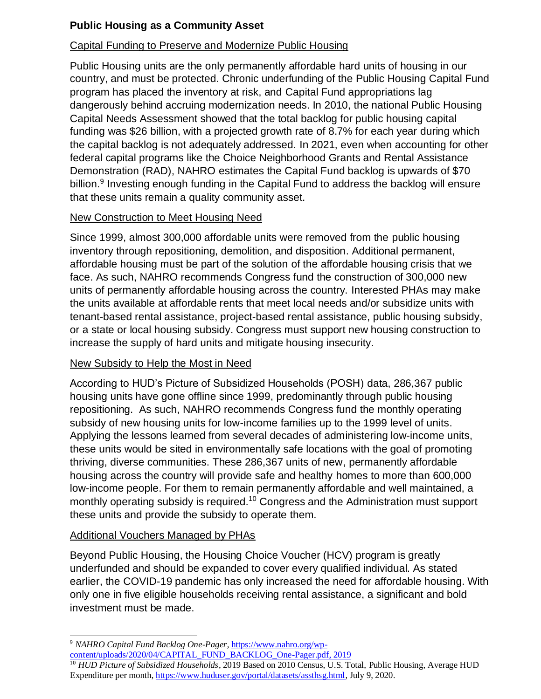## **Public Housing as a Community Asset**

## Capital Funding to Preserve and Modernize Public Housing

Public Housing units are the only permanently affordable hard units of housing in our country, and must be protected. Chronic underfunding of the Public Housing Capital Fund program has placed the inventory at risk, and Capital Fund appropriations lag dangerously behind accruing modernization needs. In 2010, the national Public Housing Capital Needs Assessment showed that the total backlog for public housing capital funding was \$26 billion, with a projected growth rate of 8.7% for each year during which the capital backlog is not adequately addressed. In 2021, even when accounting for other federal capital programs like the Choice Neighborhood Grants and Rental Assistance Demonstration (RAD), NAHRO estimates the Capital Fund backlog is upwards of \$70 billion.<sup>9</sup> Investing enough funding in the Capital Fund to address the backlog will ensure that these units remain a quality community asset.

#### New Construction to Meet Housing Need

Since 1999, almost 300,000 affordable units were removed from the public housing inventory through repositioning, demolition, and disposition. Additional permanent, affordable housing must be part of the solution of the affordable housing crisis that we face. As such, NAHRO recommends Congress fund the construction of 300,000 new units of permanently affordable housing across the country. Interested PHAs may make the units available at affordable rents that meet local needs and/or subsidize units with tenant-based rental assistance, project-based rental assistance, public housing subsidy, or a state or local housing subsidy. Congress must support new housing construction to increase the supply of hard units and mitigate housing insecurity.

#### New Subsidy to Help the Most in Need

According to HUD's Picture of Subsidized Households (POSH) data, 286,367 public housing units have gone offline since 1999, predominantly through public housing repositioning. As such, NAHRO recommends Congress fund the monthly operating subsidy of new housing units for low-income families up to the 1999 level of units. Applying the lessons learned from several decades of administering low-income units, these units would be sited in environmentally safe locations with the goal of promoting thriving, diverse communities. These 286,367 units of new, permanently affordable housing across the country will provide safe and healthy homes to more than 600,000 low-income people. For them to remain permanently affordable and well maintained, a monthly operating subsidy is required.<sup>10</sup> Congress and the Administration must support these units and provide the subsidy to operate them.

#### Additional Vouchers Managed by PHAs

Beyond Public Housing, the Housing Choice Voucher (HCV) program is greatly underfunded and should be expanded to cover every qualified individual. As stated earlier, the COVID-19 pandemic has only increased the need for affordable housing. With only one in five eligible households receiving rental assistance, a significant and bold investment must be made.

<sup>9</sup> *NAHRO Capital Fund Backlog One-Pager*[, https://www.nahro.org/wp](https://www.nahro.org/wp-content/uploads/2020/04/CAPITAL_FUND_BACKLOG_One-Pager.pdf)[content/uploads/2020/04/CAPITAL\\_FUND\\_BACKLOG\\_One-Pager.pdf,](https://www.nahro.org/wp-content/uploads/2020/04/CAPITAL_FUND_BACKLOG_One-Pager.pdf) 2019

<sup>&</sup>lt;sup>10</sup> HUD Picture of Subsidized Households, 2019 Based on 2010 Census, U.S. Total, Public Housing, Average HUD Expenditure per month[, https://www.huduser.gov/portal/datasets/assthsg.html,](https://www.huduser.gov/portal/datasets/assthsg.html) July 9, 2020.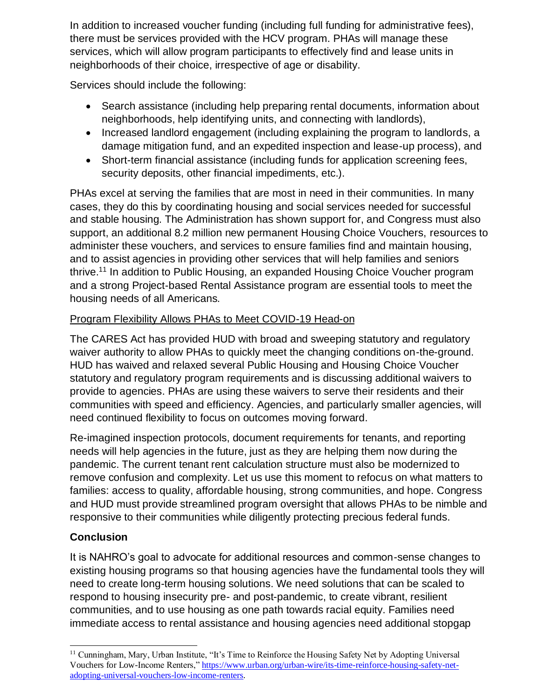In addition to increased voucher funding (including full funding for administrative fees), there must be services provided with the HCV program. PHAs will manage these services, which will allow program participants to effectively find and lease units in neighborhoods of their choice, irrespective of age or disability.

Services should include the following:

- Search assistance (including help preparing rental documents, information about neighborhoods, help identifying units, and connecting with landlords),
- Increased landlord engagement (including explaining the program to landlords, a damage mitigation fund, and an expedited inspection and lease-up process), and
- Short-term financial assistance (including funds for application screening fees, security deposits, other financial impediments, etc.).

PHAs excel at serving the families that are most in need in their communities. In many cases, they do this by coordinating housing and social services needed for successful and stable housing. The Administration has shown support for, and Congress must also support, an additional 8.2 million new permanent Housing Choice Vouchers, resources to administer these vouchers, and services to ensure families find and maintain housing, and to assist agencies in providing other services that will help families and seniors thrive.<sup>11</sup> In addition to Public Housing, an expanded Housing Choice Voucher program and a strong Project-based Rental Assistance program are essential tools to meet the housing needs of all Americans.

## Program Flexibility Allows PHAs to Meet COVID-19 Head-on

The CARES Act has provided HUD with broad and sweeping statutory and regulatory waiver authority to allow PHAs to quickly meet the changing conditions on-the-ground. HUD has waived and relaxed several Public Housing and Housing Choice Voucher statutory and regulatory program requirements and is discussing additional waivers to provide to agencies. PHAs are using these waivers to serve their residents and their communities with speed and efficiency. Agencies, and particularly smaller agencies, will need continued flexibility to focus on outcomes moving forward.

Re-imagined inspection protocols, document requirements for tenants, and reporting needs will help agencies in the future, just as they are helping them now during the pandemic. The current tenant rent calculation structure must also be modernized to remove confusion and complexity. Let us use this moment to refocus on what matters to families: access to quality, affordable housing, strong communities, and hope. Congress and HUD must provide streamlined program oversight that allows PHAs to be nimble and responsive to their communities while diligently protecting precious federal funds.

## **Conclusion**

It is NAHRO's goal to advocate for additional resources and common-sense changes to existing housing programs so that housing agencies have the fundamental tools they will need to create long-term housing solutions. We need solutions that can be scaled to respond to housing insecurity pre- and post-pandemic, to create vibrant, resilient communities, and to use housing as one path towards racial equity. Families need immediate access to rental assistance and housing agencies need additional stopgap

<sup>&</sup>lt;sup>11</sup> Cunningham, Mary, Urban Institute, "It's Time to Reinforce the Housing Safety Net by Adopting Universal Vouchers for Low-Income Renters,[" https://www.urban.org/urban-wire/its-time-reinforce-housing-safety-net](https://www.urban.org/urban-wire/its-time-reinforce-housing-safety-net-adopting-universal-vouchers-low-income-renters)[adopting-universal-vouchers-low-income-renters.](https://www.urban.org/urban-wire/its-time-reinforce-housing-safety-net-adopting-universal-vouchers-low-income-renters)